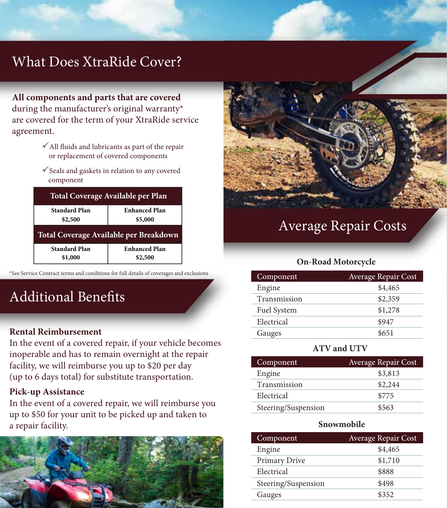# What Does XtraRide Cover?

**All components and parts that are covered**  during the manufacturer's original warranty\* are covered for the term of your XtraRide service agreement.

- $\checkmark$  All fluids and lubricants as part of the repair or replacement of covered components
- $\checkmark$  Seals and gaskets in relation to any covered component

| Total Coverage Available per Plan      |                                 |  |
|----------------------------------------|---------------------------------|--|
| <b>Standard Plan</b><br>\$2,500        | <b>Enhanced Plan</b><br>\$5,000 |  |
| Total Coverage Available per Breakdown |                                 |  |
|                                        |                                 |  |

\*See Service Contract terms and conditions for full details of coverages and exclusions

# Additional Benefits

### **Include Reimbursement**

In the event of a covered repair, if your vehicle becomes inoperable and has to remain overnight at the repair facility, we will reimburse you up to \$20 per day (up to 6 days total) for substitute transportation.

#### **Pick-up Assistance**

In the event of a covered repair, we will reimburse you up to \$50 for your unit to be picked up and taken to a repair facility.





# Average Repair Costs

#### **On-Road Motorcycle**

| Component    | Average Repair Cost |
|--------------|---------------------|
| Engine       | \$4,465             |
| Transmission | \$2,359             |
| Fuel System  | \$1,278             |
| Electrical   | \$947               |
| Gauges       | \$651               |

#### **ATV and UTV**

| Component           | <b>Average Repair Cost</b> |
|---------------------|----------------------------|
| Engine              | \$3,813                    |
| Transmission        | \$2,244                    |
| Electrical          | \$775                      |
| Steering/Suspension | \$563                      |

#### **Snowmobile**

| Component           | <b>Average Repair Cost</b> |
|---------------------|----------------------------|
| Engine              | \$4,465                    |
| Primary Drive       | \$1,710                    |
| Electrical          | \$888                      |
| Steering/Suspension | \$498                      |
| Gauges              | \$352                      |